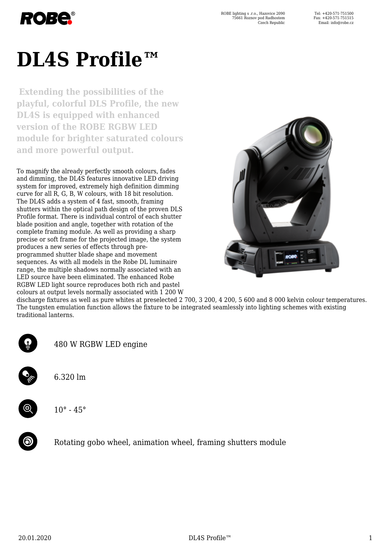

# **DL4S Profile™**

**Extending the possibilities of the playful, colorful DLS Profile, the new DL4S is equipped with enhanced version of the ROBE RGBW LED module for brighter saturated colours and more powerful output.**

To magnify the already perfectly smooth colours, fades and dimming, the DL4S features innovative LED driving system for improved, extremely high definition dimming curve for all R, G, B, W colours, with 18 bit resolution. The DL4S adds a system of 4 fast, smooth, framing shutters within the optical path design of the proven DLS Profile format. There is individual control of each shutter blade position and angle, together with rotation of the complete framing module. As well as providing a sharp precise or soft frame for the projected image, the system produces a new series of effects through preprogrammed shutter blade shape and movement sequences. As with all models in the Robe DL luminaire range, the multiple shadows normally associated with an LED source have been eliminated. The enhanced Robe RGBW LED light source reproduces both rich and pastel colours at output levels normally associated with 1 200 W



discharge fixtures as well as pure whites at preselected 2 700, 3 200, 4 200, 5 600 and 8 000 kelvin colour temperatures. The tungsten emulation function allows the fixture to be integrated seamlessly into lighting schemes with existing traditional lanterns.



480 W RGBW LED engine

6.320 lm



 $10^{\circ} - 45^{\circ}$ 



Rotating gobo wheel, animation wheel, framing shutters module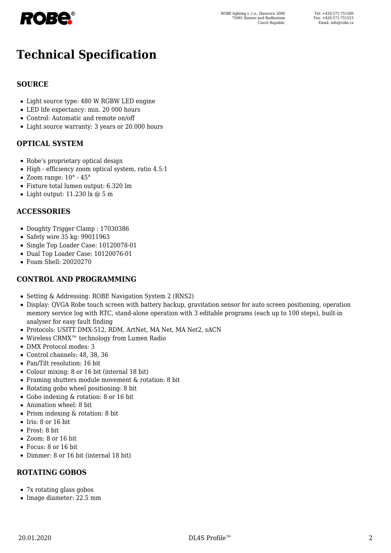

# **Technical Specification**

#### **SOURCE**

- Light source type: 480 W RGBW LED engine
- LED life expectancy: min. 20 000 hours
- Control: Automatic and remote on/off
- Light source warranty: 3 years or 20.000 hours

#### **OPTICAL SYSTEM**

- Robe's proprietary optical design
- High efficiency zoom optical system, ratio 4.5:1
- $\bullet$  Zoom range:  $10^{\circ}$   $45^{\circ}$
- Fixture total lumen output: 6.320 lm
- $\bullet$  Light output: 11.230 lx  $@$  5 m

#### **ACCESSORIES**

- Doughty Trigger Clamp : 17030386
- Safety wire 35 kg: 99011963
- Single Top Loader Case: 10120078-01
- Dual Top Loader Case: 10120076-01
- Foam Shell: 20020270

#### **CONTROL AND PROGRAMMING**

- Setting & Addressing: ROBE Navigation System 2 (RNS2)
- Display: QVGA Robe touch screen with battery backup, gravitation sensor for auto screen positioning, operation memory service log with RTC, stand-alone operation with 3 editable programs (each up to 100 steps), built-in analyser for easy fault finding
- Protocols: USITT DMX-512, RDM, ArtNet, MA Net, MA Net2, sACN
- Wireless CRMX™ technology from Lumen Radio
- DMX Protocol modes: 3
- Control channels: 48, 38, 36
- Pan/Tilt resolution: 16 bit
- Colour mixing: 8 or 16 bit (internal 18 bit)
- Framing shutters module movement & rotation: 8 bit
- Rotating gobo wheel positioning: 8 bit
- Gobo indexing & rotation: 8 or 16 bit
- Animation wheel: 8 bit
- Prism indexing & rotation: 8 bit
- $\bullet$  Iris: 8 or 16 bit
- Frost· 8 bit
- Zoom: 8 or 16 bit
- Focus: 8 or 16 bit
- Dimmer: 8 or 16 bit (internal 18 bit)

# **ROTATING GOBOS**

- 7x rotating glass gobos
- Image diameter: 22.5 mm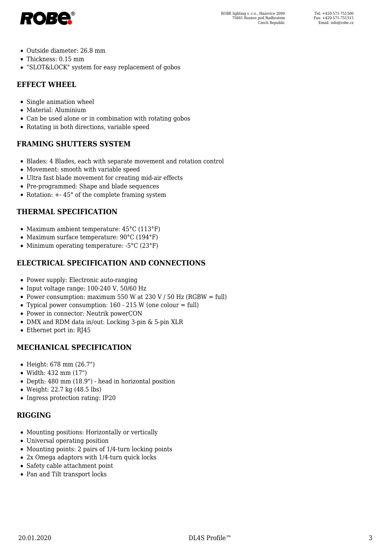

- Outside diameter: 26.8 mm
- Thickness: 0.15 mm
- "SLOT&LOCK" system for easy replacement of gobos

#### **EFFECT WHEEL**

- Single animation wheel
- Material: Aluminium
- Can be used alone or in combination with rotating gobos
- Rotating in both directions, variable speed

#### **FRAMING SHUTTERS SYSTEM**

- Blades: 4 Blades, each with separate movement and rotation control
- Movement: smooth with variable speed
- Ultra fast blade movement for creating mid-air effects
- Pre-programmed: Shape and blade sequences
- Rotation:  $+ 45^{\circ}$  of the complete framing system

#### **THERMAL SPECIFICATION**

- Maximum ambient temperature: 45°C (113°F)
- Maximum surface temperature: 90°C (194°F)
- Minimum operating temperature: -5°C (23°F)

### **ELECTRICAL SPECIFICATION AND CONNECTIONS**

- Power supply: Electronic auto-ranging
- $\bullet$  Input voltage range: 100-240 V, 50/60 Hz
- Power consumption: maximum 550 W at 230 V / 50 Hz (RGBW = full)
- Typical power consumption:  $160 215$  W (one colour = full)
- Power in connector: Neutrik powerCON
- DMX and RDM data in/out: Locking 3-pin & 5-pin XLR
- Ethernet port in: RJ45

#### **MECHANICAL SPECIFICATION**

- Height: 678 mm (26.7")
- Width: 432 mm (17")
- Depth: 480 mm (18.9") head in horizontal position
- Weight: 22.7 kg (48.5 lbs)
- Ingress protection rating: IP20

#### **RIGGING**

- Mounting positions: Horizontally or vertically
- Universal operating position
- Mounting points: 2 pairs of 1/4-turn locking points
- 2x Omega adaptors with 1/4-turn quick locks
- Safety cable attachment point
- Pan and Tilt transport locks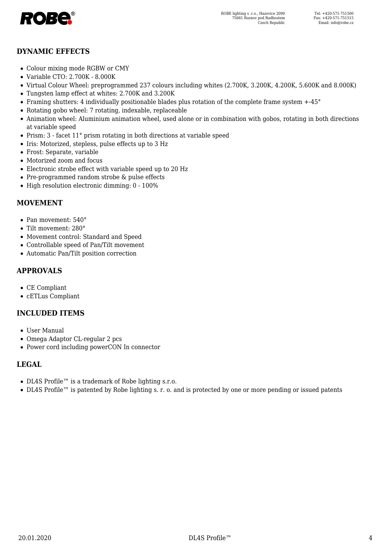

#### **DYNAMIC EFFECTS**

- Colour mixing mode RGBW or CMY
- Variable CTO: 2.700K 8.000K
- Virtual Colour Wheel: preprogrammed 237 colours including whites (2.700K, 3.200K, 4.200K, 5.600K and 8.000K)
- Tungsten lamp effect at whites: 2.700K and 3.200K
- Framing shutters: 4 individually positionable blades plus rotation of the complete frame system +-45°
- Rotating gobo wheel: 7 rotating, indexable, replaceable
- Animation wheel: Aluminium animation wheel, used alone or in combination with gobos, rotating in both directions at variable speed
- Prism: 3 facet 11° prism rotating in both directions at variable speed
- Iris: Motorized, stepless, pulse effects up to 3 Hz
- Frost: Separate, variable
- Motorized zoom and focus
- Electronic strobe effect with variable speed up to 20 Hz
- Pre-programmed random strobe & pulse effects
- High resolution electronic dimming: 0 100%

#### **MOVEMENT**

- Pan movement: 540°
- Tilt movement: 280°
- Movement control: Standard and Speed
- Controllable speed of Pan/Tilt movement
- Automatic Pan/Tilt position correction

#### **APPROVALS**

- CE Compliant
- cETLus Compliant

#### **INCLUDED ITEMS**

- User Manual
- Omega Adaptor CL-regular 2 pcs
- Power cord including powerCON In connector

#### **LEGAL**

- DL4S Profile™ is a trademark of Robe lighting s.r.o.
- DL4S Profile™ is patented by Robe lighting s. r. o. and is protected by one or more pending or issued patents